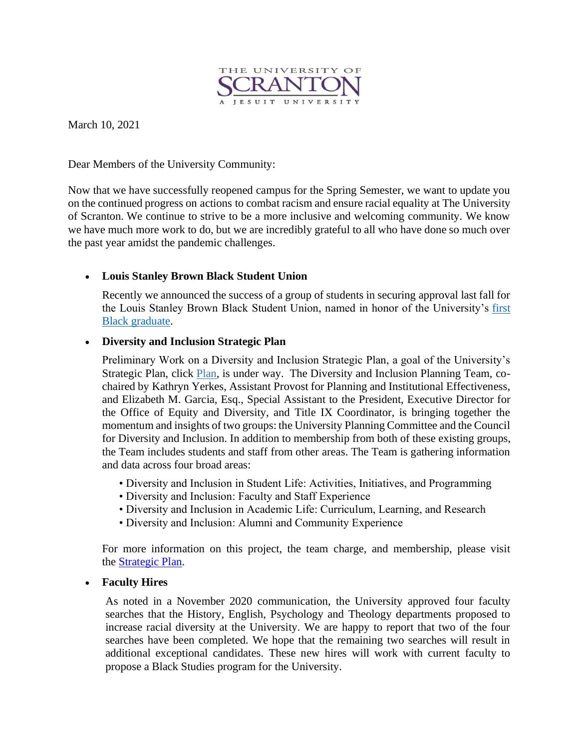

March 10, 2021

Dear Members of the University Community:

Now that we have successfully reopened campus for the Spring Semester, we want to update you on the continued progress on actions to combat racism and ensure racial equality at The University of Scranton. We continue to strive to be a more inclusive and welcoming community. We know we have much more work to do, but we are incredibly grateful to all who have done so much over the past year amidst the pandemic challenges.

## • **Louis Stanley Brown Black Student Union**

Recently we announced the success of a group of students in securing approval last fall for the Louis Stanley Brown Black Student Union, named in honor of the University's [first](https://www.scranton.edu/about/diversity-inclusion/louis-stanley-brown.shtml)  [Black graduate.](https://www.scranton.edu/about/diversity-inclusion/louis-stanley-brown.shtml)

### • **Diversity and Inclusion Strategic Plan**

Preliminary Work on a Diversity and Inclusion Strategic Plan, a goal of the University's Strategic [Plan,](https://www.scranton.edu/strategic-plan/2020/plan-content-page.shtml#phase4) click Plan, is under way. The Diversity and Inclusion Planning Team, cochaired by Kathryn Yerkes, Assistant Provost for Planning and Institutional Effectiveness, and Elizabeth M. Garcia, Esq., Special Assistant to the President, Executive Director for the Office of Equity and Diversity, and Title IX Coordinator, is bringing together the momentum and insights of two groups: the University Planning Committee and the Council for Diversity and Inclusion. In addition to membership from both of these existing groups, the Team includes students and staff from other areas. The Team is gathering information and data across four broad areas:

- Diversity and Inclusion in Student Life: Activities, Initiatives, and Programming
- Diversity and Inclusion: Faculty and Staff Experience
- Diversity and Inclusion in Academic Life: Curriculum, Learning, and Research
- Diversity and Inclusion: Alumni and Community Experience

For more information on this project, the team charge, and membership, please visit the [Strategic Plan.](http://www.scranton.edu/strategicplan)

### • **Faculty Hires**

As noted in a November 2020 communication, the University approved four faculty searches that the History, English, Psychology and Theology departments proposed to increase racial diversity at the University. We are happy to report that two of the four searches have been completed. We hope that the remaining two searches will result in additional exceptional candidates. These new hires will work with current faculty to propose a Black Studies program for the University.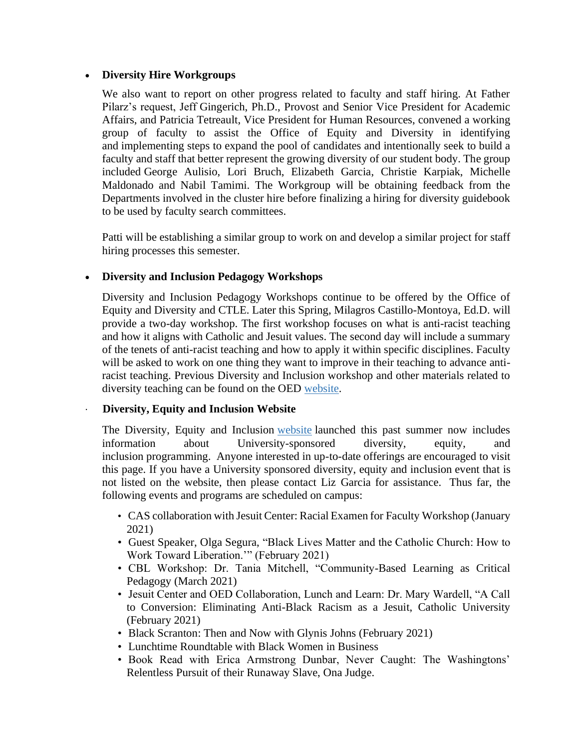### • **Diversity Hire Workgroups**

We also want to report on other progress related to faculty and staff hiring. At Father Pilarz's request, Jeff Gingerich, Ph.D., Provost and Senior Vice President for Academic Affairs, and Patricia Tetreault, Vice President for Human Resources, convened a working group of faculty to assist the Office of Equity and Diversity in identifying and implementing steps to expand the pool of candidates and intentionally seek to build a faculty and staff that better represent the growing diversity of our student body. The group included George Aulisio, Lori Bruch, Elizabeth Garcia, Christie Karpiak, Michelle Maldonado and Nabil Tamimi. The Workgroup will be obtaining feedback from the Departments involved in the cluster hire before finalizing a hiring for diversity guidebook to be used by faculty search committees.

Patti will be establishing a similar group to work on and develop a similar project for staff hiring processes this semester.

# • **Diversity and Inclusion Pedagogy Workshops**

Diversity and Inclusion Pedagogy Workshops continue to be offered by the Office of Equity and Diversity and CTLE. Later this Spring, Milagros Castillo-Montoya, Ed.D. will provide a two-day workshop. The first workshop focuses on what is anti-racist teaching and how it aligns with Catholic and Jesuit values. The second day will include a summary of the tenets of anti-racist teaching and how to apply it within specific disciplines. Faculty will be asked to work on one thing they want to improve in their teaching to advance antiracist teaching. Previous Diversity and Inclusion workshop and other materials related to diversity teaching can be found on the OED [website.](https://www.scranton.edu/equity-diversity/faculty-resources.shtml)

# · **Diversity, Equity and Inclusion Website**

The Diversity, Equity and Inclusion [website](https://www.scranton.edu/about/diversity-inclusion/events.shtml) launched this past summer now includes information about University-sponsored diversity, equity, and inclusion programming. Anyone interested in up-to-date offerings are encouraged to visit this page. If you have a University sponsored diversity, equity and inclusion event that is not listed on the website, then please contact Liz Garcia for assistance. Thus far, the following events and programs are scheduled on campus:

- CAS collaboration with Jesuit Center: Racial Examen for Faculty Workshop (January 2021)
- Guest Speaker, Olga Segura, "Black Lives Matter and the Catholic Church: How to Work Toward Liberation.'" (February 2021)
- CBL Workshop: Dr. Tania Mitchell, "Community-Based Learning as Critical Pedagogy (March 2021)
- Jesuit Center and OED Collaboration, Lunch and Learn: Dr. Mary Wardell, "A Call to Conversion: Eliminating Anti-Black Racism as a Jesuit, Catholic University (February 2021)
- Black Scranton: Then and Now with Glynis Johns (February 2021)
- Lunchtime Roundtable with Black Women in Business
- Book Read with Erica Armstrong Dunbar, Never Caught: The Washingtons' Relentless Pursuit of their Runaway Slave, Ona Judge.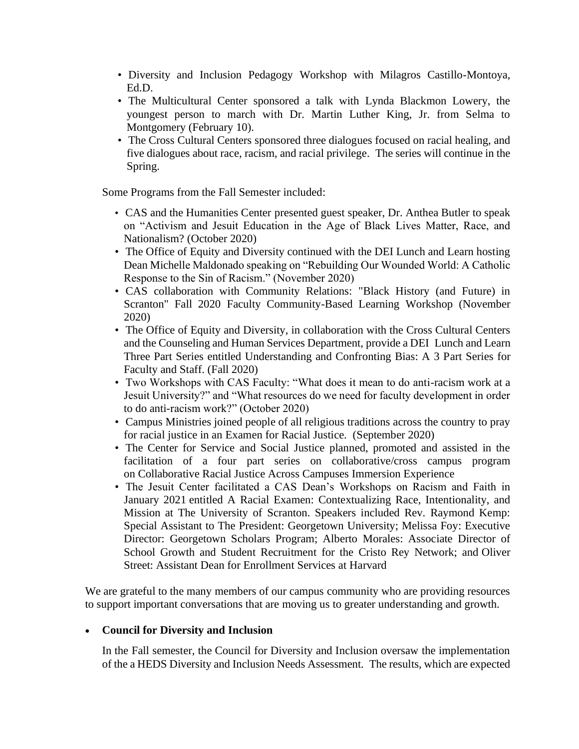- Diversity and Inclusion Pedagogy Workshop with Milagros Castillo-Montoya, Ed.D.
- The Multicultural Center sponsored a talk with Lynda Blackmon Lowery, the youngest person to march with Dr. Martin Luther King, Jr. from Selma to Montgomery (February 10).
- The Cross Cultural Centers sponsored three dialogues focused on racial healing, and five dialogues about race, racism, and racial privilege. The series will continue in the Spring.

Some Programs from the Fall Semester included:

- CAS and the Humanities Center presented guest speaker, Dr. Anthea Butler to speak on "Activism and Jesuit Education in the Age of Black Lives Matter, Race, and Nationalism? (October 2020)
- The Office of Equity and Diversity continued with the DEI Lunch and Learn hosting Dean Michelle Maldonado speaking on "Rebuilding Our Wounded World: A Catholic Response to the Sin of Racism." (November 2020)
- CAS collaboration with Community Relations: "Black History (and Future) in Scranton" Fall 2020 Faculty Community-Based Learning Workshop (November 2020)
- The Office of Equity and Diversity, in collaboration with the Cross Cultural Centers and the Counseling and Human Services Department, provide a DEI Lunch and Learn Three Part Series entitled Understanding and Confronting Bias: A 3 Part Series for Faculty and Staff. (Fall 2020)
- Two Workshops with CAS Faculty: "What does it mean to do anti-racism work at a Jesuit University?" and "What resources do we need for faculty development in order to do anti-racism work?" (October 2020)
- Campus Ministries joined people of all religious traditions across the country to pray for racial justice in an Examen for Racial Justice. (September 2020)
- The Center for Service and Social Justice planned, promoted and assisted in the facilitation of a four part series on collaborative/cross campus program on Collaborative Racial Justice Across Campuses Immersion Experience
- The Jesuit Center facilitated a CAS Dean's Workshops on Racism and Faith in January 2021 entitled A Racial Examen: Contextualizing Race, Intentionality, and Mission at The University of Scranton. Speakers included Rev. Raymond Kemp: Special Assistant to The President: Georgetown University; Melissa Foy: Executive Director: Georgetown Scholars Program; Alberto Morales: Associate Director of School Growth and Student Recruitment for the Cristo Rey Network; and Oliver Street: Assistant Dean for Enrollment Services at Harvard

We are grateful to the many members of our campus community who are providing resources to support important conversations that are moving us to greater understanding and growth.

### • **Council for Diversity and Inclusion**

In the Fall semester, the Council for Diversity and Inclusion oversaw the implementation of the a HEDS Diversity and Inclusion Needs Assessment. The results, which are expected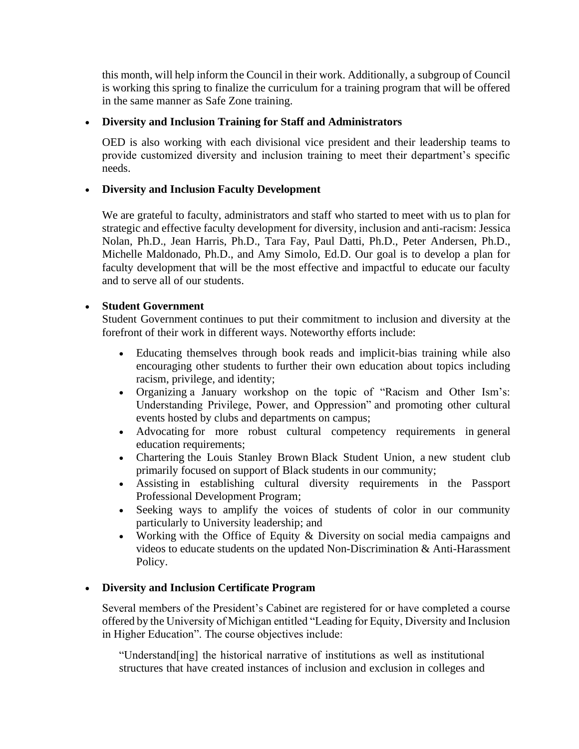this month, will help inform the Council in their work. Additionally, a subgroup of Council is working this spring to finalize the curriculum for a training program that will be offered in the same manner as Safe Zone training.

## • **Diversity and Inclusion Training for Staff and Administrators**

OED is also working with each divisional vice president and their leadership teams to provide customized diversity and inclusion training to meet their department's specific needs.

## • **Diversity and Inclusion Faculty Development**

We are grateful to faculty, administrators and staff who started to meet with us to plan for strategic and effective faculty development for diversity, inclusion and anti-racism: Jessica Nolan, Ph.D., Jean Harris, Ph.D., Tara Fay, Paul Datti, Ph.D., Peter Andersen, Ph.D., Michelle Maldonado, Ph.D., and Amy Simolo, Ed.D. Our goal is to develop a plan for faculty development that will be the most effective and impactful to educate our faculty and to serve all of our students.

## • **Student Government**

Student Government continues to put their commitment to inclusion and diversity at the forefront of their work in different ways. Noteworthy efforts include:

- Educating themselves through book reads and implicit-bias training while also encouraging other students to further their own education about topics including racism, privilege, and identity;
- Organizing a January workshop on the topic of "Racism and Other Ism's: Understanding Privilege, Power, and Oppression" and promoting other cultural events hosted by clubs and departments on campus;
- Advocating for more robust cultural competency requirements in general education requirements;
- Chartering the Louis Stanley Brown Black Student Union, a new student club primarily focused on support of Black students in our community;
- Assisting in establishing cultural diversity requirements in the Passport Professional Development Program;
- Seeking ways to amplify the voices of students of color in our community particularly to University leadership; and
- Working with the Office of Equity & Diversity on social media campaigns and videos to educate students on the updated Non-Discrimination & Anti-Harassment Policy.

# • **Diversity and Inclusion Certificate Program**

Several members of the President's Cabinet are registered for or have completed a course offered by the University of Michigan entitled "Leading for Equity, Diversity and Inclusion in Higher Education". The course objectives include:

"Understand[ing] the historical narrative of institutions as well as institutional structures that have created instances of inclusion and exclusion in colleges and